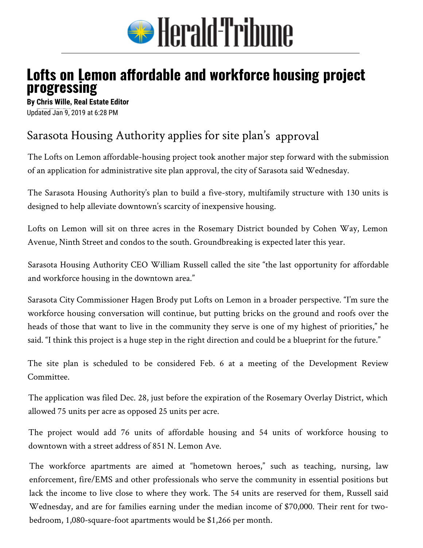

## **Lofts on Lemon affordable and workforce housing project progressing**

**By Chris Wille, Real Estate Editor** Updated Jan 9, 2019 at 6:28 PM

## Sarasota Housing Authority applies for site plan's approval

The Lofts on Lemon affordable-housing project took another major step forward with the submission of an application for administrative site plan approval, the city of Sarasota said Wednesday.

The Sarasota Housing Authority's plan to build a five-story, multifamily structure with 130 units is designed to help alleviate downtown's scarcity of inexpensive housing.

Lofts on Lemon will sit on three acres in the Rosemary District bounded by Cohen Way, Lemon Avenue, Ninth Street and condos to the south. Groundbreaking is expected later this year.

Sarasota Housing Authority CEO William Russell called the site "the last opportunity for affordable and workforce housing in the downtown area."

Sarasota City Commissioner Hagen Brody put Lofts on Lemon in a broader perspective. "I'm sure the workforce housing conversation will continue, but putting bricks on the ground and roofs over the heads of those that want to live in the community they serve is one of my highest of priorities," he said. "I think this project is a huge step in the right direction and could be a blueprint for the future."

The site plan is scheduled to be considered Feb. 6 at a meeting of the Development Review Committee.

The application was filed Dec. 28, just before the expiration of the Rosemary Overlay District, which allowed 75 units per acre as opposed 25 units per acre.

The project would add 76 units of affordable housing and 54 units of workforce housing to downtown with a street address of 851 N. Lemon Ave.

The workforce apartments are aimed at "hometown heroes," such as teaching, nursing, law enforcement, fire/EMS and other professionals who serve the community in essential positions but lack the income to live close to where they work. The 54 units are reserved for them, Russell said Wednesday, and are for families earning under the median income of \$70,000. Their rent for twobedroom, 1,080-square-foot apartments would be \$1,266 per month.